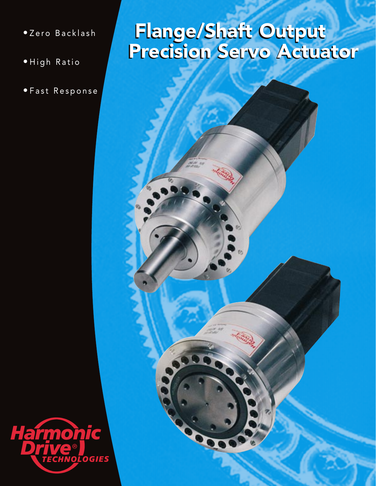- Zero Backlash
- High Ratio
- Fast Response

## Flange/Shaft Output Precision Servo Actuator Flange/Shaft Output Precision Servo Actuator



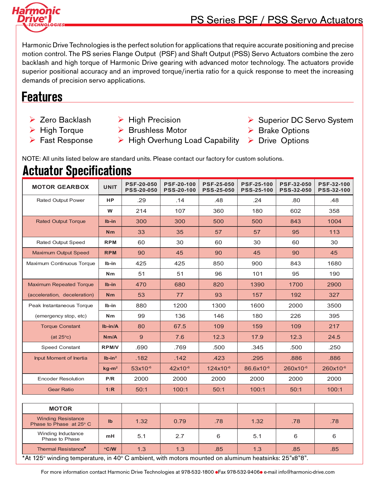

Harmonic Drive Technologies is the perfect solution for applications that require accurate positioning and precise motion control. The PS series Flange Output (PSF) and Shaft Output (PSS) Servo Actuators combine the zero backlash and high torque of Harmonic Drive gearing with advanced motor technology. The actuators provide superior positional accuracy and an improved torque/inertia ratio for a quick response to meet the increasing demands of precision servo applications.

# **Features**

 $\triangleright$  Zero Backlash

 $\triangleright$  Fast Response

- $\triangleright$  High Torque
- $\triangleright$  High Precision
- $\triangleright$  Brushless Motor
	- ▶ High Overhung Load Capability > Drive Options
- **▶ Superior DC Servo System**
- ▶ Brake Options
	-

NOTE: All units listed below are standard units. Please contact our factory for custom solutions.

## **Actuator Specifications**

| <b>MOTOR GEARBOX</b>           | <b>UNIT</b>  | <b>PSF-20-050</b><br><b>PSS-20-050</b> | <b>PSF-20-100</b><br><b>PSS-20-100</b> | <b>PSF-25-050</b><br><b>PSS-25-050</b> | <b>PSF-25-100</b><br><b>PSS-25-100</b> | <b>PSF-32-050</b><br><b>PSS-32-050</b> | <b>PSF-32-100</b><br><b>PSS-32-100</b> |
|--------------------------------|--------------|----------------------------------------|----------------------------------------|----------------------------------------|----------------------------------------|----------------------------------------|----------------------------------------|
| <b>Rated Output Power</b>      | <b>HP</b>    | .29                                    | .14                                    | .48                                    | .24                                    | .80                                    | .48                                    |
|                                | W            | 214                                    | 107                                    | 360                                    | 180                                    | 602                                    | 358                                    |
| <b>Rated Output Torque</b>     | Ib-in        | 300                                    | 300                                    | 500                                    | 500                                    | 843                                    | 1004                                   |
|                                | Nm           | 33                                     | 35                                     | 57                                     | 57                                     | 95                                     | 113                                    |
| <b>Rated Output Speed</b>      | <b>RPM</b>   | 60                                     | 30                                     | 60                                     | 30                                     | 60                                     | 30                                     |
| <b>Maximum Output Speed</b>    | <b>RPM</b>   | 90                                     | 45                                     | 90                                     | 45                                     | 90                                     | 45                                     |
| Maximum Continuous Torque      | lb-in        | 425                                    | 425                                    | 850                                    | 900                                    | 843                                    | 1680                                   |
|                                | Nm           | 51                                     | 51                                     | 96                                     | 101                                    | 95                                     | 190                                    |
| <b>Maximum Repeated Torque</b> | $Ib-in$      | 470                                    | 680                                    | 820                                    | 1390                                   | 1700                                   | 2900                                   |
| (acceleration, deceleration)   | Nm           | 53                                     | 77                                     | 93                                     | 157                                    | 192                                    | 327                                    |
| Peak Instantaneous Torque      | lb-in        | 880                                    | 1200                                   | 1300                                   | 1600                                   | 2000                                   | 3500                                   |
| (emergency stop, etc)          | Nm           | 99                                     | 136                                    | 146                                    | 180                                    | 226                                    | 395                                    |
| <b>Torque Constant</b>         | $Ib-in/A$    | 80                                     | 67.5                                   | 109                                    | 159                                    | 109                                    | 217                                    |
| $(at 25^{\circ}c)$             | Nm/A         | 9                                      | 7.6                                    | 12.3                                   | 17.9                                   | 12.3                                   | 24.5                                   |
| <b>Speed Constant</b>          | <b>RPM/V</b> | .690                                   | .769                                   | .500                                   | .345                                   | .500                                   | .250                                   |
| Input Moment of Inertia        | $Ib-in2$     | .182                                   | .142                                   | .423                                   | .295                                   | .886                                   | .886                                   |
|                                | $kg-m2$      | $53x10^{-6}$                           | $42x10^{-6}$                           | 124x10 <sup>-6</sup>                   | 86.6x10 <sup>-6</sup>                  | 260x10-6                               | 260x10 <sup>-6</sup>                   |
| <b>Encoder Resolution</b>      | P/R          | 2000                                   | 2000                                   | 2000                                   | 2000                                   | 2000                                   | 2000                                   |
| <b>Gear Ratio</b>              | 1:R          | 50:1                                   | 100:1                                  | 50:1                                   | 100:1                                  | 50:1                                   | 100:1                                  |

| <b>MOTOR</b>                                                                                       |              |      |      |     |      |     |     |
|----------------------------------------------------------------------------------------------------|--------------|------|------|-----|------|-----|-----|
| <b>Winding Resistance</b><br>Phase to Phase at $25^{\circ}$ C                                      | $\mathbf{I}$ | 1.32 | 0.79 | .78 | 1.32 | .78 | .78 |
| Winding Inductance<br>Phase to Phase                                                               | mH           | 5.1  | 2.7  | 6   | 5.1  |     | 6   |
| Thermal Resistance <sup>*</sup>                                                                    | °C/W         | 1.3  | 1.3  | .85 | 1.3  | .85 | .85 |
| $*$ 40. Later tomography in $400 \Omega$ ambient with maters mounted an eluminum beateinkar $95\%$ |              |      |      |     |      |     |     |

\*At 125° winding temperature, in 40° C ambient, with motors mounted on aluminum heatsinks: 25"x8"8".

For more information contact Harmonic Drive Technologies at 978-532-1800 Fax 978-532-9406 e-mail info@harmonic-drive.com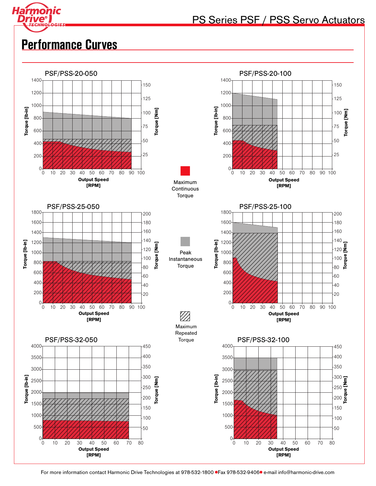

## PS Series PSF / PSS Servo Actuators

# **Performance Curves**



For more information contact Harmonic Drive Technologies at 978-532-1800 Fax 978-532-9406 e-mail info@harmonic-drive.com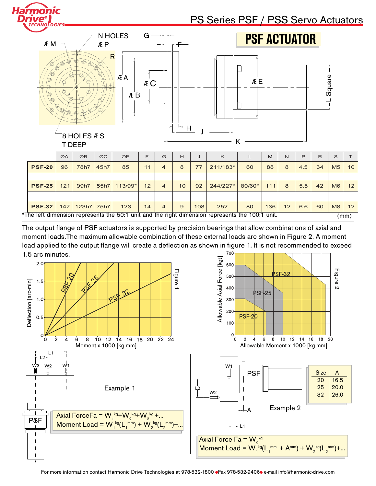| Harmonic<br><i><b>LOGIES</b></i> |                                        |                                                                     |                 |                                     |       |   |         |    | PS Series PSF / PSS Servo Actuators |                     |     |              |     |              |                |    |
|----------------------------------|----------------------------------------|---------------------------------------------------------------------|-----------------|-------------------------------------|-------|---|---------|----|-------------------------------------|---------------------|-----|--------------|-----|--------------|----------------|----|
| <b>ÆM</b>                        |                                        |                                                                     | <b>ÆP</b>       | N HOLES                             | $G -$ |   |         |    |                                     | <b>PSF ACTUATOR</b> |     |              |     |              |                |    |
| ¢<br>۱                           | 00<br>ひ<br>/⊙)<br>©)<br>$\circledcirc$ | $\circledcirc$<br>$^{\circ}$<br>8 HOLES <b>E</b> S<br><b>T DEEP</b> | ⊚<br>⊚          | $\overline{\mathsf{R}}$<br>ÆΑ<br>ÆB | Æ C   | ÷ | l-<br>Ή |    |                                     | ÆE<br>Κ             |     |              |     |              | Square         |    |
|                                  | ØA                                     | $\oslash$ B                                                         | $\varnothing C$ | ØE                                  | F     | G | H       | J  | K                                   | L                   | M   | $\mathsf{N}$ | P   | $\mathsf{R}$ | S              | T  |
| <b>PSF-20</b>                    | 96                                     | 78h7                                                                | 45h7            | 85                                  | 11    | 4 | 8       | 77 | 211/183*                            | 60                  | 88  | 8            | 4.5 | 34           | M <sub>5</sub> | 10 |
|                                  |                                        |                                                                     |                 |                                     |       |   |         |    |                                     |                     |     |              |     |              |                |    |
| <b>PSF-25</b>                    | 121                                    | 99h7                                                                | 55h7            | 113/99*                             | 12    | 4 | 10      | 92 | 244/227*                            | 80/60*              | 111 | 8            | 5.5 | 42           | M6             | 12 |
|                                  |                                        |                                                                     |                 |                                     |       |   |         |    |                                     |                     |     |              |     |              |                |    |

700 The output flange of PSF actuators is supported by precision bearings that allow combinations of axial and moment loads.The maximum allowable combination of these external loads are shown in Figure 2. A moment load applied to the output flange will create a deflection as shown in figure 1. It is not recommended to exceed 1.5 arc minutes.

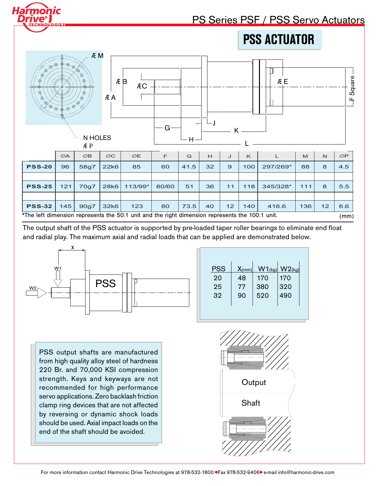| ive<br>OLOGIES                                                                                                                                                                                                                                                                                                                                                                                                                                                                              |     |             |                 |                                                                                                 |       |      |    |                |              | PS Series PSF / PSS Servo Actuators |     |              |                 |
|---------------------------------------------------------------------------------------------------------------------------------------------------------------------------------------------------------------------------------------------------------------------------------------------------------------------------------------------------------------------------------------------------------------------------------------------------------------------------------------------|-----|-------------|-----------------|-------------------------------------------------------------------------------------------------|-------|------|----|----------------|--------------|-------------------------------------|-----|--------------|-----------------|
|                                                                                                                                                                                                                                                                                                                                                                                                                                                                                             |     |             |                 |                                                                                                 |       |      |    |                |              | <b>PSS ACTUATOR</b>                 |     |              |                 |
| <b>ÆM</b><br>800<br>$\circledast$<br>◎<br>-F Square<br>ÆE<br>◎<br>ÆB<br>⊚<br>ÆС<br>⊚<br>ÆΑ<br>◎<br>Q,<br>$\begin{picture}(180,10) \put(0,0){\line(1,0){10}} \put(10,0){\line(1,0){10}} \put(10,0){\line(1,0){10}} \put(10,0){\line(1,0){10}} \put(10,0){\line(1,0){10}} \put(10,0){\line(1,0){10}} \put(10,0){\line(1,0){10}} \put(10,0){\line(1,0){10}} \put(10,0){\line(1,0){10}} \put(10,0){\line(1,0){10}} \put(10,0){\line(1,0){10}} \put(10,0){\line($<br>G<br>N HOLES<br>┡┥╼┙<br>Æ P |     |             |                 |                                                                                                 |       |      |    |                |              |                                     |     |              |                 |
|                                                                                                                                                                                                                                                                                                                                                                                                                                                                                             | ØA  | $\oslash$ B | $\varnothing C$ | ØE                                                                                              | F     | G    | H  | J              | $\mathsf{K}$ | L.                                  | M   | $\mathsf{N}$ | $\varnothing P$ |
| <b>PSS-20</b>                                                                                                                                                                                                                                                                                                                                                                                                                                                                               | 96  | 58g7        | 22k6            | 85                                                                                              | 60    | 41.5 | 32 | $\overline{9}$ | 100          | 297/269*                            | 88  | 8            | 4.5             |
|                                                                                                                                                                                                                                                                                                                                                                                                                                                                                             |     |             |                 |                                                                                                 |       |      |    |                |              |                                     |     |              |                 |
| <b>PSS-25</b>                                                                                                                                                                                                                                                                                                                                                                                                                                                                               | 121 | 70g7        | <b>28k6</b>     | 113/99*                                                                                         | 80/60 | 51   | 36 | 11             | 118          | 345/328*                            | 111 | 8            | 5.5             |
| <b>PSS-32</b>                                                                                                                                                                                                                                                                                                                                                                                                                                                                               | 145 | 90g7        | 32k6            | 123                                                                                             | 80    | 73.5 | 40 | 12             | 140          | 416.6                               | 136 | 12           | 6.6             |
|                                                                                                                                                                                                                                                                                                                                                                                                                                                                                             |     |             |                 | *The left dimension represents the 50:1 unit and the right dimension represents the 100:1 unit. |       |      |    |                |              |                                     |     |              | (mm)            |

The output shaft of the PSS actuator is supported by pre-loaded taper roller bearings to eliminate end float and radial play. The maximum axial and radial loads that can be applied are demonstrated below.



PSS output shafts are manufactured from high quality alloy steel of hardness 220 Br. and 70,000 KSI compression strength. Keys and keyways are not recommended for high performance servo applications. Zero backlash friction clamp ring devices that are not affected by reversing or dynamic shock loads should be used. Axial impact loads on the end of the shaft should be avoided.

| PSS | $X_{(mm)}$ | W1(kg) | $W2$ (kg) |
|-----|------------|--------|-----------|
| 20  | 48         | 170    | 170       |
| 25  | 77         | 380    | 320       |
| 32  | 90         | 520    | 490       |
|     |            |        |           |
|     |            |        |           |

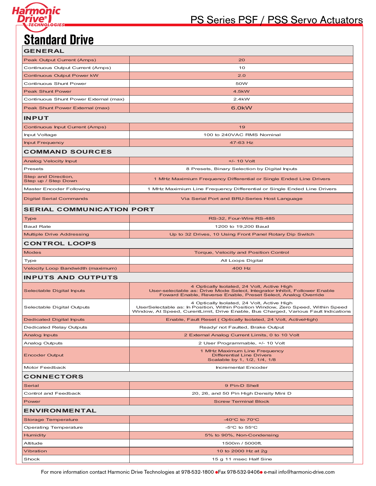

## PS Series PSF / PSS Servo Actuators

# **Standard Drive**

| <b>GENERAL</b>                        |                                                                                                                                                                                                                       |
|---------------------------------------|-----------------------------------------------------------------------------------------------------------------------------------------------------------------------------------------------------------------------|
| Peak Output Current (Amps)            | 20                                                                                                                                                                                                                    |
| Continuous Output Current (Amps)      | 10                                                                                                                                                                                                                    |
| <b>Continuous Output Power kW</b>     | 2.0                                                                                                                                                                                                                   |
| Continuous Shunt Power                | 50W                                                                                                                                                                                                                   |
| <b>Peak Shunt Power</b>               | 4.5kW                                                                                                                                                                                                                 |
| Continuous Shunt Power External (max) | 2.4kW                                                                                                                                                                                                                 |
| Peak Shunt Power External (max)       | 6.0kW                                                                                                                                                                                                                 |
| <b>INPUT</b>                          |                                                                                                                                                                                                                       |
| Continuous Input Current (Amps)       | 19                                                                                                                                                                                                                    |
| Input Voltage                         | 100 to 240VAC RMS Nominal                                                                                                                                                                                             |
| <b>Input Frequency</b>                | 47-63 Hz                                                                                                                                                                                                              |
| <b>COMMAND SOURCES</b>                |                                                                                                                                                                                                                       |
| <b>Analog Velocity Input</b>          | $+/- 10$ Volt                                                                                                                                                                                                         |
| Presets                               | 8 Presets, Binary Selection by Digital Inputs                                                                                                                                                                         |
| Step and Direction,                   | 1 MHz Maximium Frequency Differential or Single Ended Line Drivers                                                                                                                                                    |
| Step up / Step Down                   |                                                                                                                                                                                                                       |
| Master Encoder Following              | 1 MHz Maximium Line Frequency Differential or Single Ended Line Drivers                                                                                                                                               |
| <b>Digital Serial Commands</b>        | Via Serial Port and BRU-Series Host Language                                                                                                                                                                          |
| <b>SERIAL COMMUNICATION PORT</b>      |                                                                                                                                                                                                                       |
| Type                                  | RS-32, Four-Wire RS-485                                                                                                                                                                                               |
| <b>Baud Rate</b>                      | 1200 to 19,200 Baud                                                                                                                                                                                                   |
| <b>Multiple Drive Addressing</b>      | Up to 32 Drives, 10 Using Front Panel Rotary Dip Switch                                                                                                                                                               |
| <b>CONTROL LOOPS</b>                  |                                                                                                                                                                                                                       |
| <b>Modes</b>                          | Torque, Velocity and Position Control                                                                                                                                                                                 |
| Type                                  | All Loops Digital                                                                                                                                                                                                     |
| Velocity Loop Bandwidth (maximum)     | 400 Hz                                                                                                                                                                                                                |
| <b>INPUTS AND OUTPUTS</b>             |                                                                                                                                                                                                                       |
| Selectable Digital Inputs             | 4 Optically Isolated, 24 Volt, Active High<br>User-selectable as: Drive Mode Select, Integrator Inhibit, Follower Enable<br>Foward Enable, Reverse Enable, Preset Select, Analog Override                             |
| Selectable Digital Outputs            | 4 Optically Isolated, 24 Volt, Active High<br>UserSelectable as: In Position, Within Position Window, Zero Speed, Within Speed<br>Window, At Speed, CurentLimit, Drive Enable, Bus Charged, Various Fault Indications |
| <b>Dedicated Digital Inputs</b>       | Enable, Fault Reset (Optically Isolated, 24 Volt, ActiveHigh)                                                                                                                                                         |
| <b>Dedicated Relay Outputs</b>        | Ready/ not Faulted, Brake Output                                                                                                                                                                                      |
| Analog Inputs                         | 2 External Analog Current Limits, 0 to 10 Volt                                                                                                                                                                        |
| <b>Analog Outputs</b>                 | 2 User Programmable, +/- 10 Volt                                                                                                                                                                                      |
| <b>Encoder Output</b>                 | 1 MHz Maximum Line Frequency<br><b>Differential Line Drivers</b><br>Scalable by 1, 1/2, 1/4, 1/8                                                                                                                      |
| Motor Feedback                        | Incremental Encoder                                                                                                                                                                                                   |
| <b>CONNECTORS</b>                     |                                                                                                                                                                                                                       |
| Serial                                | 9 Pin-D Shell                                                                                                                                                                                                         |
| Control and Feedback                  | 20, 26, and 50 Pin High Density Mini D                                                                                                                                                                                |
| Power                                 | <b>Screw Terminal Block</b>                                                                                                                                                                                           |
| <b>ENVIRONMENTAL</b>                  |                                                                                                                                                                                                                       |
| <b>Storage Temperature</b>            | $-40^{\circ}$ C to 70 $^{\circ}$ C                                                                                                                                                                                    |
| <b>Operating Temperature</b>          | -5 $\mathrm{^{\circ}C}$ to 55 $\mathrm{^{\circ}C}$                                                                                                                                                                    |
| Humidity                              | 5% to 90%, Non-Condensing                                                                                                                                                                                             |
| Altitude                              | 1500m / 5000ft.                                                                                                                                                                                                       |
| Vibration                             | 10 to 2000 Hz at 2g                                                                                                                                                                                                   |
| Shock                                 | 15 g 11 msec Half Sine                                                                                                                                                                                                |

For more information contact Harmonic Drive Technologies at 978-532-1800 Fax 978-532-9406 e-mail info@harmonic-drive.com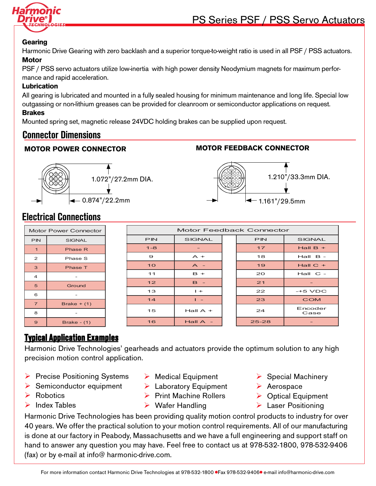

#### **Gearing**

Harmonic Drive Gearing with zero backlash and a superior torque-to-weight ratio is used in all PSF / PSS actuators. **Motor**

PSF / PSS servo actuators utilize low-inertia with high power density Neodymium magnets for maximum performance and rapid acceleration.

#### **Lubrication**

All gearing is lubricated and mounted in a fully sealed housing for minimum maintenance and long life. Special low outgassing or non-lithium greases can be provided for cleanroom or semiconductor applications on request.

#### **Brakes**

Mounted spring set, magnetic release 24VDC holding brakes can be supplied upon request.

### **Connector Dimensions**

#### **MOTOR POWER CONNECTOR MOTOR FEEDBACK CONNECTOR**





## **Electrical Connections**

|                | <b>Motor Power Connector</b> | <b>Motor Feedback Connector</b> |                |  |            |               |  |  |
|----------------|------------------------------|---------------------------------|----------------|--|------------|---------------|--|--|
| <b>PIN</b>     | <b>SIGNAL</b>                | <b>PIN</b>                      | <b>SIGNAL</b>  |  | <b>PIN</b> | <b>SIGNAL</b> |  |  |
| $\mathbf{1}$   | Phase R                      | $1 - 8$                         |                |  | 17         | Hall $B +$    |  |  |
| 2              | Phase S                      | $\boldsymbol{\Theta}$           | $A +$          |  | 18         | $Hall$ $B -$  |  |  |
| 3              | <b>Phase T</b>               | 10                              | $A -$          |  | 19         | Hall $C +$    |  |  |
| $\overline{4}$ | $\overline{\phantom{0}}$     | 11                              | $B +$          |  | 20         | $Hall C -$    |  |  |
| 5              | Ground                       | 12                              | $B -$          |  | 21         |               |  |  |
| 6              | $\overline{\phantom{a}}$     | 13                              | $+$            |  | 22         | $-+5$ VDC     |  |  |
| $\overline{7}$ | Brake $+$ (1)                | 14                              | $\mathbf{I}$ = |  | 23         | <b>COM</b>    |  |  |
| 8              |                              | 15                              | Hall $A +$     |  | 24         | Encoder       |  |  |
|                | $\overline{\phantom{a}}$     |                                 |                |  |            | Case          |  |  |
| $\mathbf{9}$   | Brake - $(1)$                | 16                              | Hall $A -$     |  | $25 - 28$  |               |  |  |

### **Typical Application Examples**

Harmonic Drive Technologies' gearheads and actuators provide the optimum solution to any high precision motion control application.

- $\triangleright$  Precise Positioning Systems
- $\triangleright$  Semiconductor equipment
- $\triangleright$  Robotics
- $\blacktriangleright$  Index Tables
- $\triangleright$  Medical Equipment
- $\triangleright$  Laboratory Equipment
- $\triangleright$  Print Machine Rollers
- $\triangleright$  Wafer Handling
- $\triangleright$  Special Machinery
- Ø Aerospace
	- $\triangleright$  Optical Equipment
		- $\triangleright$  Laser Positioning

Harmonic Drive Technologies has been providing quality motion control products to industry for over 40 years. We offer the practical solution to your motion control requirements. All of our manufacturing is done at our factory in Peabody, Massachusetts and we have a full engineering and support staff on hand to answer any question you may have. Feel free to contact us at 978-532-1800, 978-532-9406 (fax) or by e-mail at info@ harmonic-drive.com.